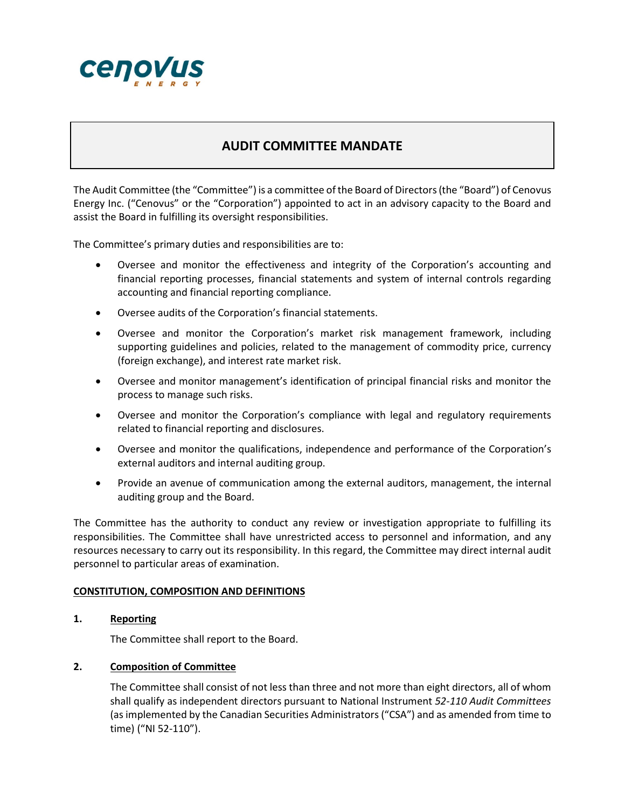

# **AUDIT COMMITTEE MANDATE**

The Audit Committee (the "Committee") is a committee of the Board of Directors(the "Board") of Cenovus Energy Inc. ("Cenovus" or the "Corporation") appointed to act in an advisory capacity to the Board and assist the Board in fulfilling its oversight responsibilities.

The Committee's primary duties and responsibilities are to:

- Oversee and monitor the effectiveness and integrity of the Corporation's accounting and financial reporting processes, financial statements and system of internal controls regarding accounting and financial reporting compliance.
- Oversee audits of the Corporation's financial statements.
- Oversee and monitor the Corporation's market risk management framework, including supporting guidelines and policies, related to the management of commodity price, currency (foreign exchange), and interest rate market risk.
- Oversee and monitor management's identification of principal financial risks and monitor the process to manage such risks.
- Oversee and monitor the Corporation's compliance with legal and regulatory requirements related to financial reporting and disclosures.
- Oversee and monitor the qualifications, independence and performance of the Corporation's external auditors and internal auditing group.
- Provide an avenue of communication among the external auditors, management, the internal auditing group and the Board.

The Committee has the authority to conduct any review or investigation appropriate to fulfilling its responsibilities. The Committee shall have unrestricted access to personnel and information, and any resources necessary to carry out its responsibility. In this regard, the Committee may direct internal audit personnel to particular areas of examination.

#### **CONSTITUTION, COMPOSITION AND DEFINITIONS**

**1. Reporting**

The Committee shall report to the Board.

#### **2. Composition of Committee**

The Committee shall consist of not less than three and not more than eight directors, all of whom shall qualify as independent directors pursuant to National Instrument *52-110 Audit Committees* (as implemented by the Canadian Securities Administrators ("CSA") and as amended from time to time) ("NI 52-110").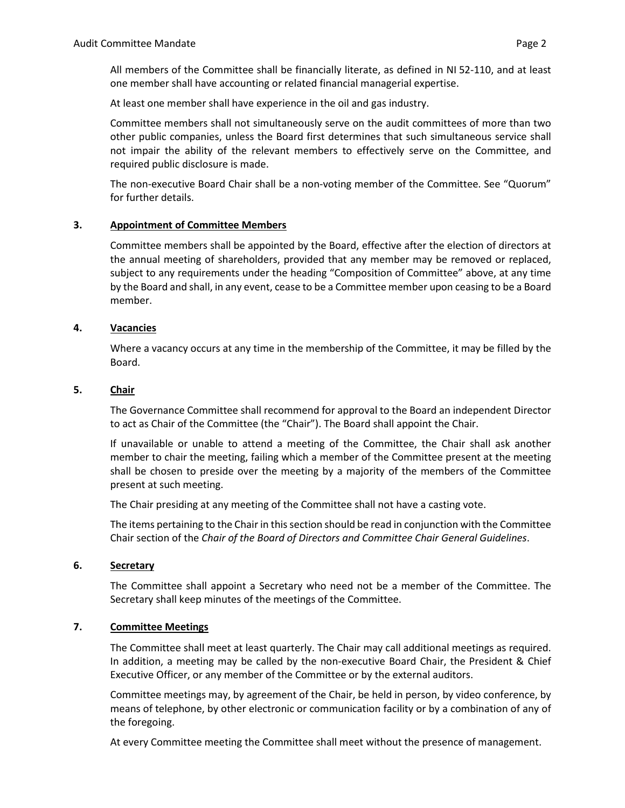All members of the Committee shall be financially literate, as defined in NI 52-110, and at least one member shall have accounting or related financial managerial expertise.

At least one member shall have experience in the oil and gas industry.

Committee members shall not simultaneously serve on the audit committees of more than two other public companies, unless the Board first determines that such simultaneous service shall not impair the ability of the relevant members to effectively serve on the Committee, and required public disclosure is made.

The non-executive Board Chair shall be a non-voting member of the Committee. See "Quorum" for further details.

### **3. Appointment of Committee Members**

Committee members shall be appointed by the Board, effective after the election of directors at the annual meeting of shareholders, provided that any member may be removed or replaced, subject to any requirements under the heading "Composition of Committee" above, at any time by the Board and shall, in any event, cease to be a Committee member upon ceasing to be a Board member.

#### **4. Vacancies**

Where a vacancy occurs at any time in the membership of the Committee, it may be filled by the Board.

#### **5. Chair**

The Governance Committee shall recommend for approval to the Board an independent Director to act as Chair of the Committee (the "Chair"). The Board shall appoint the Chair.

If unavailable or unable to attend a meeting of the Committee, the Chair shall ask another member to chair the meeting, failing which a member of the Committee present at the meeting shall be chosen to preside over the meeting by a majority of the members of the Committee present at such meeting.

The Chair presiding at any meeting of the Committee shall not have a casting vote.

The items pertaining to the Chair in this section should be read in conjunction with the Committee Chair section of the *Chair of the Board of Directors and Committee Chair General Guidelines*.

#### **6. Secretary**

The Committee shall appoint a Secretary who need not be a member of the Committee. The Secretary shall keep minutes of the meetings of the Committee.

# **7. Committee Meetings**

The Committee shall meet at least quarterly. The Chair may call additional meetings as required. In addition, a meeting may be called by the non-executive Board Chair, the President & Chief Executive Officer, or any member of the Committee or by the external auditors.

Committee meetings may, by agreement of the Chair, be held in person, by video conference, by means of telephone, by other electronic or communication facility or by a combination of any of the foregoing.

At every Committee meeting the Committee shall meet without the presence of management.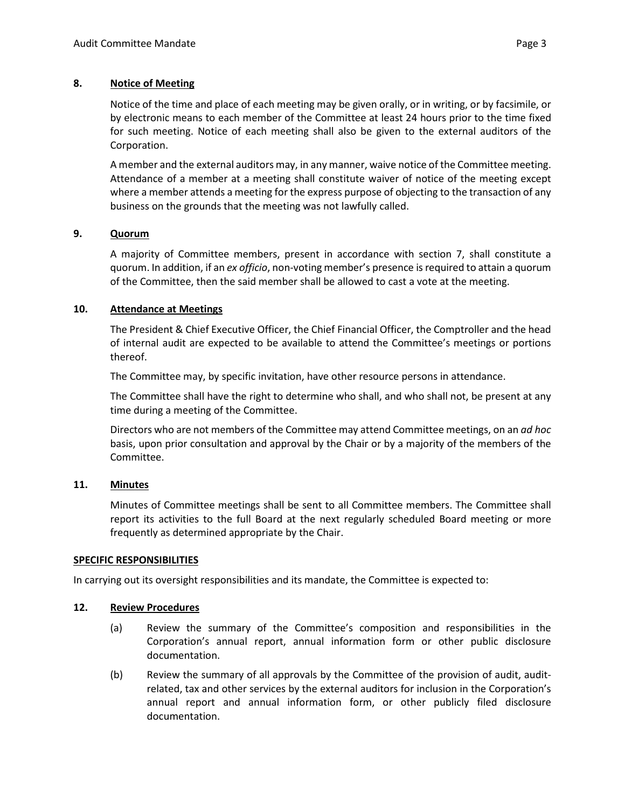# **8. Notice of Meeting**

Notice of the time and place of each meeting may be given orally, or in writing, or by facsimile, or by electronic means to each member of the Committee at least 24 hours prior to the time fixed for such meeting. Notice of each meeting shall also be given to the external auditors of the Corporation.

A member and the external auditors may, in any manner, waive notice of the Committee meeting. Attendance of a member at a meeting shall constitute waiver of notice of the meeting except where a member attends a meeting for the express purpose of objecting to the transaction of any business on the grounds that the meeting was not lawfully called.

### **9. Quorum**

A majority of Committee members, present in accordance with section 7, shall constitute a quorum. In addition, if an *ex officio*, non-voting member's presence is required to attain a quorum of the Committee, then the said member shall be allowed to cast a vote at the meeting.

### **10. Attendance at Meetings**

The President & Chief Executive Officer, the Chief Financial Officer, the Comptroller and the head of internal audit are expected to be available to attend the Committee's meetings or portions thereof.

The Committee may, by specific invitation, have other resource persons in attendance.

The Committee shall have the right to determine who shall, and who shall not, be present at any time during a meeting of the Committee.

Directors who are not members of the Committee may attend Committee meetings, on an *ad hoc* basis, upon prior consultation and approval by the Chair or by a majority of the members of the Committee.

#### **11. Minutes**

Minutes of Committee meetings shall be sent to all Committee members. The Committee shall report its activities to the full Board at the next regularly scheduled Board meeting or more frequently as determined appropriate by the Chair.

#### **SPECIFIC RESPONSIBILITIES**

In carrying out its oversight responsibilities and its mandate, the Committee is expected to:

#### **12. Review Procedures**

- (a) Review the summary of the Committee's composition and responsibilities in the Corporation's annual report, annual information form or other public disclosure documentation.
- (b) Review the summary of all approvals by the Committee of the provision of audit, auditrelated, tax and other services by the external auditors for inclusion in the Corporation's annual report and annual information form, or other publicly filed disclosure documentation.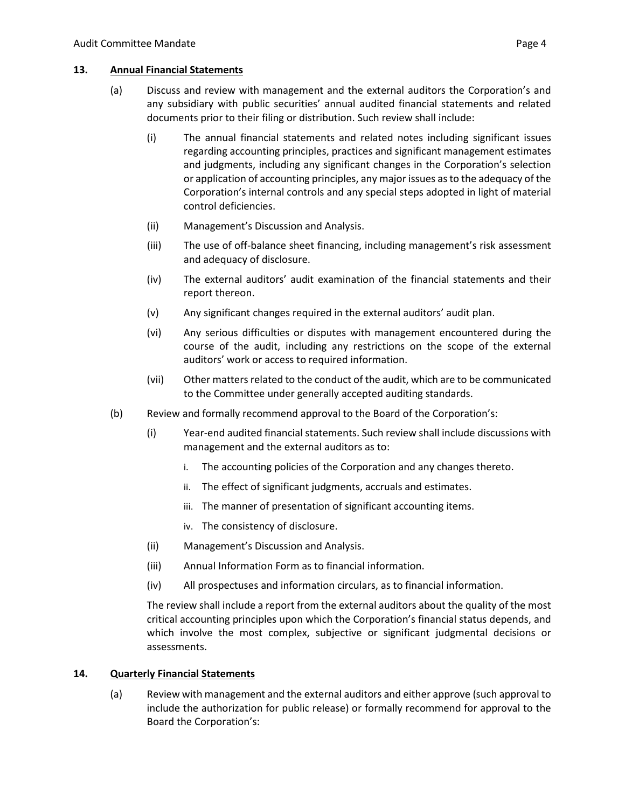#### **13. Annual Financial Statements**

- (a) Discuss and review with management and the external auditors the Corporation's and any subsidiary with public securities' annual audited financial statements and related documents prior to their filing or distribution. Such review shall include:
	- (i) The annual financial statements and related notes including significant issues regarding accounting principles, practices and significant management estimates and judgments, including any significant changes in the Corporation's selection or application of accounting principles, any major issues as to the adequacy of the Corporation's internal controls and any special steps adopted in light of material control deficiencies.
	- (ii) Management's Discussion and Analysis.
	- (iii) The use of off-balance sheet financing, including management's risk assessment and adequacy of disclosure.
	- (iv) The external auditors' audit examination of the financial statements and their report thereon.
	- (v) Any significant changes required in the external auditors' audit plan.
	- (vi) Any serious difficulties or disputes with management encountered during the course of the audit, including any restrictions on the scope of the external auditors' work or access to required information.
	- (vii) Other matters related to the conduct of the audit, which are to be communicated to the Committee under generally accepted auditing standards.
- (b) Review and formally recommend approval to the Board of the Corporation's:
	- (i) Year-end audited financial statements. Such review shall include discussions with management and the external auditors as to:
		- i. The accounting policies of the Corporation and any changes thereto.
		- ii. The effect of significant judgments, accruals and estimates.
		- iii. The manner of presentation of significant accounting items.
		- iv. The consistency of disclosure.
	- (ii) Management's Discussion and Analysis.
	- (iii) Annual Information Form as to financial information.
	- (iv) All prospectuses and information circulars, as to financial information.

The review shall include a report from the external auditors about the quality of the most critical accounting principles upon which the Corporation's financial status depends, and which involve the most complex, subjective or significant judgmental decisions or assessments.

#### **14. Quarterly Financial Statements**

(a) Review with management and the external auditors and either approve (such approval to include the authorization for public release) or formally recommend for approval to the Board the Corporation's: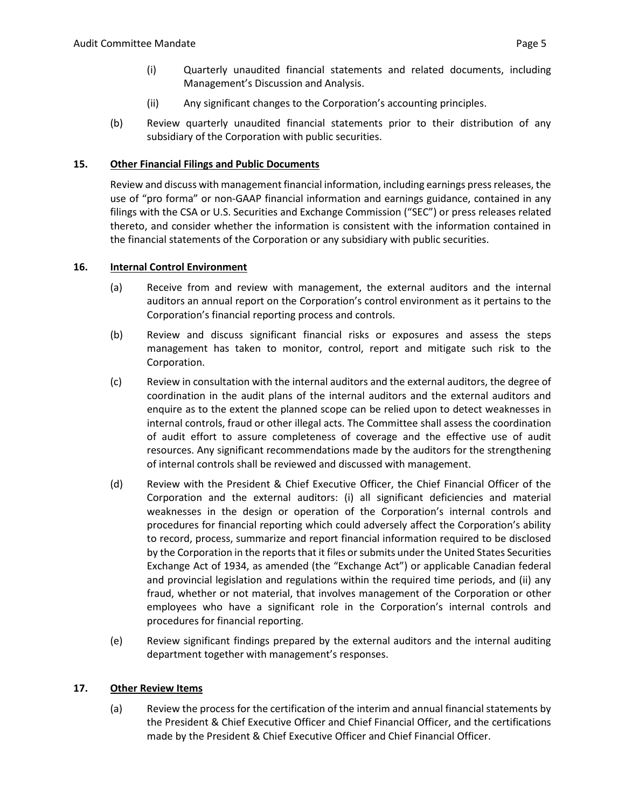- (ii) Any significant changes to the Corporation's accounting principles.
- (b) Review quarterly unaudited financial statements prior to their distribution of any subsidiary of the Corporation with public securities.

# **15. Other Financial Filings and Public Documents**

Review and discuss with management financial information, including earnings press releases, the use of "pro forma" or non-GAAP financial information and earnings guidance, contained in any filings with the CSA or U.S. Securities and Exchange Commission ("SEC") or press releases related thereto, and consider whether the information is consistent with the information contained in the financial statements of the Corporation or any subsidiary with public securities.

### **16. Internal Control Environment**

- (a) Receive from and review with management, the external auditors and the internal auditors an annual report on the Corporation's control environment as it pertains to the Corporation's financial reporting process and controls.
- (b) Review and discuss significant financial risks or exposures and assess the steps management has taken to monitor, control, report and mitigate such risk to the Corporation.
- (c) Review in consultation with the internal auditors and the external auditors, the degree of coordination in the audit plans of the internal auditors and the external auditors and enquire as to the extent the planned scope can be relied upon to detect weaknesses in internal controls, fraud or other illegal acts. The Committee shall assess the coordination of audit effort to assure completeness of coverage and the effective use of audit resources. Any significant recommendations made by the auditors for the strengthening of internal controls shall be reviewed and discussed with management.
- (d) Review with the President & Chief Executive Officer, the Chief Financial Officer of the Corporation and the external auditors: (i) all significant deficiencies and material weaknesses in the design or operation of the Corporation's internal controls and procedures for financial reporting which could adversely affect the Corporation's ability to record, process, summarize and report financial information required to be disclosed by the Corporation in the reports that it files or submits under the United States Securities Exchange Act of 1934, as amended (the "Exchange Act") or applicable Canadian federal and provincial legislation and regulations within the required time periods, and (ii) any fraud, whether or not material, that involves management of the Corporation or other employees who have a significant role in the Corporation's internal controls and procedures for financial reporting.
- (e) Review significant findings prepared by the external auditors and the internal auditing department together with management's responses.

# **17. Other Review Items**

(a) Review the process for the certification of the interim and annual financial statements by the President & Chief Executive Officer and Chief Financial Officer, and the certifications made by the President & Chief Executive Officer and Chief Financial Officer.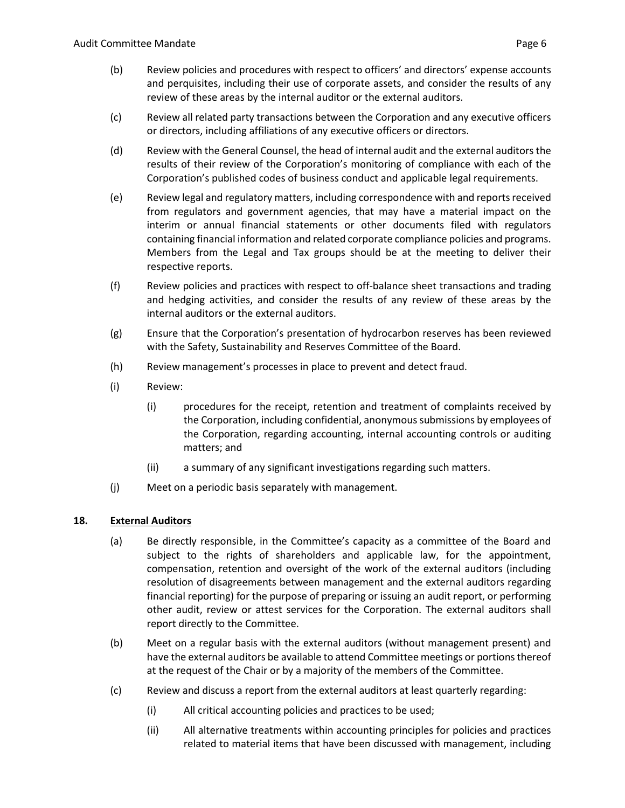- (b) Review policies and procedures with respect to officers' and directors' expense accounts and perquisites, including their use of corporate assets, and consider the results of any review of these areas by the internal auditor or the external auditors.
- (c) Review all related party transactions between the Corporation and any executive officers or directors, including affiliations of any executive officers or directors.
- (d) Review with the General Counsel, the head of internal audit and the external auditors the results of their review of the Corporation's monitoring of compliance with each of the Corporation's published codes of business conduct and applicable legal requirements.
- (e) Review legal and regulatory matters, including correspondence with and reports received from regulators and government agencies, that may have a material impact on the interim or annual financial statements or other documents filed with regulators containing financial information and related corporate compliance policies and programs. Members from the Legal and Tax groups should be at the meeting to deliver their respective reports.
- (f) Review policies and practices with respect to off-balance sheet transactions and trading and hedging activities, and consider the results of any review of these areas by the internal auditors or the external auditors.
- (g) Ensure that the Corporation's presentation of hydrocarbon reserves has been reviewed with the Safety, Sustainability and Reserves Committee of the Board.
- (h) Review management's processes in place to prevent and detect fraud.
- (i) Review:
	- (i) procedures for the receipt, retention and treatment of complaints received by the Corporation, including confidential, anonymous submissions by employees of the Corporation, regarding accounting, internal accounting controls or auditing matters; and
	- (ii) a summary of any significant investigations regarding such matters.
- (j) Meet on a periodic basis separately with management.

# **18. External Auditors**

- (a) Be directly responsible, in the Committee's capacity as a committee of the Board and subject to the rights of shareholders and applicable law, for the appointment, compensation, retention and oversight of the work of the external auditors (including resolution of disagreements between management and the external auditors regarding financial reporting) for the purpose of preparing or issuing an audit report, or performing other audit, review or attest services for the Corporation. The external auditors shall report directly to the Committee.
- (b) Meet on a regular basis with the external auditors (without management present) and have the external auditors be available to attend Committee meetings or portions thereof at the request of the Chair or by a majority of the members of the Committee.
- (c) Review and discuss a report from the external auditors at least quarterly regarding:
	- (i) All critical accounting policies and practices to be used;
	- (ii) All alternative treatments within accounting principles for policies and practices related to material items that have been discussed with management, including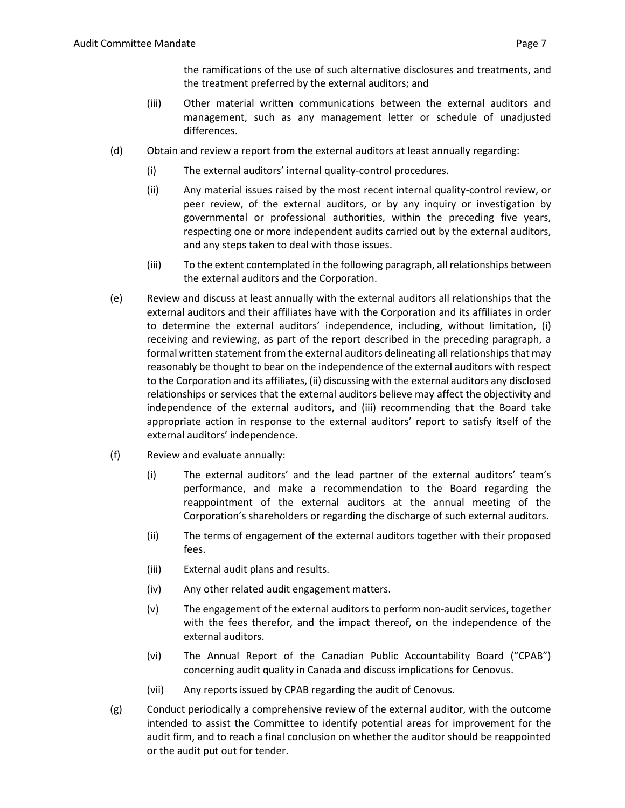the ramifications of the use of such alternative disclosures and treatments, and the treatment preferred by the external auditors; and

- (iii) Other material written communications between the external auditors and management, such as any management letter or schedule of unadjusted differences.
- (d) Obtain and review a report from the external auditors at least annually regarding:
	- (i) The external auditors' internal quality-control procedures.
	- (ii) Any material issues raised by the most recent internal quality-control review, or peer review, of the external auditors, or by any inquiry or investigation by governmental or professional authorities, within the preceding five years, respecting one or more independent audits carried out by the external auditors, and any steps taken to deal with those issues.
	- (iii) To the extent contemplated in the following paragraph, all relationships between the external auditors and the Corporation.
- (e) Review and discuss at least annually with the external auditors all relationships that the external auditors and their affiliates have with the Corporation and its affiliates in order to determine the external auditors' independence, including, without limitation, (i) receiving and reviewing, as part of the report described in the preceding paragraph, a formal written statement from the external auditors delineating all relationships that may reasonably be thought to bear on the independence of the external auditors with respect to the Corporation and its affiliates, (ii) discussing with the external auditors any disclosed relationships or services that the external auditors believe may affect the objectivity and independence of the external auditors, and (iii) recommending that the Board take appropriate action in response to the external auditors' report to satisfy itself of the external auditors' independence.
- (f) Review and evaluate annually:
	- (i) The external auditors' and the lead partner of the external auditors' team's performance, and make a recommendation to the Board regarding the reappointment of the external auditors at the annual meeting of the Corporation's shareholders or regarding the discharge of such external auditors.
	- (ii) The terms of engagement of the external auditors together with their proposed fees.
	- (iii) External audit plans and results.
	- (iv) Any other related audit engagement matters.
	- (v) The engagement of the external auditors to perform non-audit services, together with the fees therefor, and the impact thereof, on the independence of the external auditors.
	- (vi) The Annual Report of the Canadian Public Accountability Board ("CPAB") concerning audit quality in Canada and discuss implications for Cenovus.
	- (vii) Any reports issued by CPAB regarding the audit of Cenovus.
- (g) Conduct periodically a comprehensive review of the external auditor, with the outcome intended to assist the Committee to identify potential areas for improvement for the audit firm, and to reach a final conclusion on whether the auditor should be reappointed or the audit put out for tender.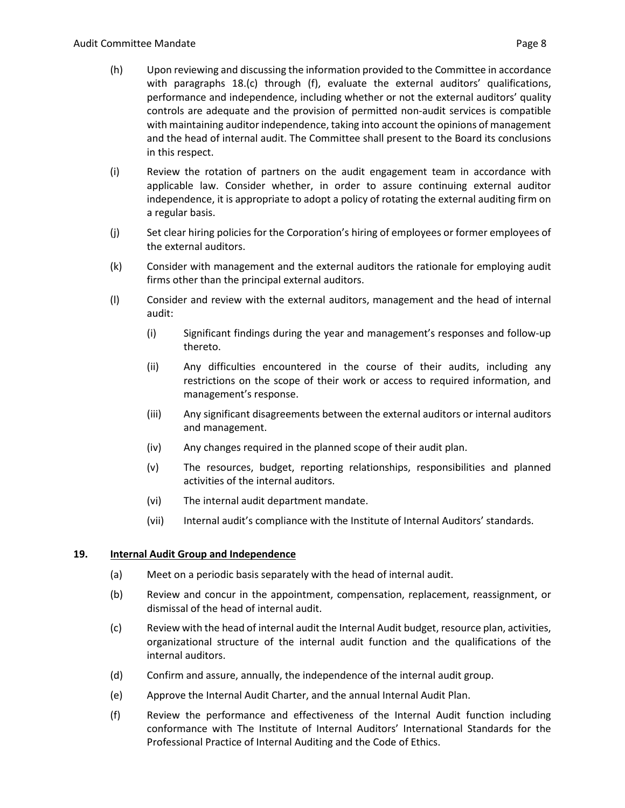- (h) Upon reviewing and discussing the information provided to the Committee in accordance with paragraphs 18.(c) through (f), evaluate the external auditors' qualifications, performance and independence, including whether or not the external auditors' quality controls are adequate and the provision of permitted non-audit services is compatible with maintaining auditor independence, taking into account the opinions of management and the head of internal audit. The Committee shall present to the Board its conclusions in this respect.
- (i) Review the rotation of partners on the audit engagement team in accordance with applicable law. Consider whether, in order to assure continuing external auditor independence, it is appropriate to adopt a policy of rotating the external auditing firm on a regular basis.
- (j) Set clear hiring policies for the Corporation's hiring of employees or former employees of the external auditors.
- (k) Consider with management and the external auditors the rationale for employing audit firms other than the principal external auditors.
- (l) Consider and review with the external auditors, management and the head of internal audit:
	- (i) Significant findings during the year and management's responses and follow-up thereto.
	- (ii) Any difficulties encountered in the course of their audits, including any restrictions on the scope of their work or access to required information, and management's response.
	- (iii) Any significant disagreements between the external auditors or internal auditors and management.
	- (iv) Any changes required in the planned scope of their audit plan.
	- (v) The resources, budget, reporting relationships, responsibilities and planned activities of the internal auditors.
	- (vi) The internal audit department mandate.
	- (vii) Internal audit's compliance with the Institute of Internal Auditors' standards.

# **19. Internal Audit Group and Independence**

- (a) Meet on a periodic basis separately with the head of internal audit.
- (b) Review and concur in the appointment, compensation, replacement, reassignment, or dismissal of the head of internal audit.
- (c) Review with the head of internal audit the Internal Audit budget, resource plan, activities, organizational structure of the internal audit function and the qualifications of the internal auditors.
- (d) Confirm and assure, annually, the independence of the internal audit group.
- (e) Approve the Internal Audit Charter, and the annual Internal Audit Plan.
- (f) Review the performance and effectiveness of the Internal Audit function including conformance with The Institute of Internal Auditors' International Standards for the Professional Practice of Internal Auditing and the Code of Ethics.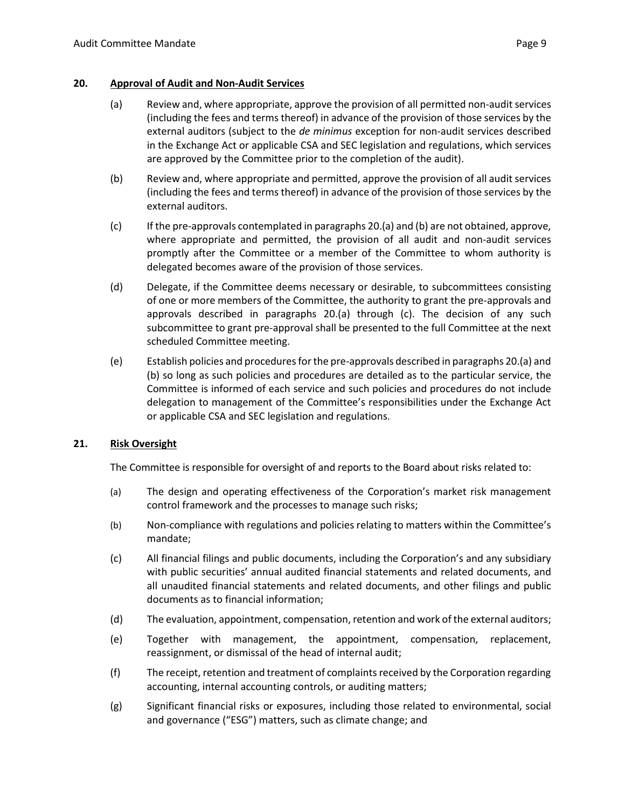### <span id="page-8-1"></span><span id="page-8-0"></span>**20. Approval of Audit and Non-Audit Services**

- (a) Review and, where appropriate, approve the provision of all permitted non-audit services (including the fees and terms thereof) in advance of the provision of those services by the external auditors (subject to the *de minimus* exception for non-audit services described in the Exchange Act or applicable CSA and SEC legislation and regulations, which services are approved by the Committee prior to the completion of the audit).
- <span id="page-8-2"></span>(b) Review and, where appropriate and permitted, approve the provision of all audit services (including the fees and terms thereof) in advance of the provision of those services by the external auditors.
- <span id="page-8-3"></span>(c) If the pre-approvals contemplated in paragraph[s 20](#page-8-0)[.\(a\)](#page-8-1) an[d \(b\)](#page-8-2) are not obtained, approve, where appropriate and permitted, the provision of all audit and non-audit services promptly after the Committee or a member of the Committee to whom authority is delegated becomes aware of the provision of those services.
- (d) Delegate, if the Committee deems necessary or desirable, to subcommittees consisting of one or more members of the Committee, the authority to grant the pre-approvals and approvals described in paragraphs [20.](#page-8-0)[\(a\)](#page-8-1) through [\(c\).](#page-8-3) The decision of any such subcommittee to grant pre-approval shall be presented to the full Committee at the next scheduled Committee meeting.
- (e) Establish policies and procedures for the pre-approvals described in paragraph[s 20](#page-8-0)[.\(a\)](#page-8-1) and [\(b\)](#page-8-2) so long as such policies and procedures are detailed as to the particular service, the Committee is informed of each service and such policies and procedures do not include delegation to management of the Committee's responsibilities under the Exchange Act or applicable CSA and SEC legislation and regulations.

# **21. Risk Oversight**

The Committee is responsible for oversight of and reports to the Board about risks related to:

- (a) The design and operating effectiveness of the Corporation's market risk management control framework and the processes to manage such risks;
- (b) Non-compliance with regulations and policies relating to matters within the Committee's mandate;
- (c) All financial filings and public documents, including the Corporation's and any subsidiary with public securities' annual audited financial statements and related documents, and all unaudited financial statements and related documents, and other filings and public documents as to financial information;
- (d) The evaluation, appointment, compensation, retention and work of the external auditors;
- (e) Together with management, the appointment, compensation, replacement, reassignment, or dismissal of the head of internal audit;
- (f) The receipt, retention and treatment of complaints received by the Corporation regarding accounting, internal accounting controls, or auditing matters;
- (g) Significant financial risks or exposures, including those related to environmental, social and governance ("ESG") matters, such as climate change; and